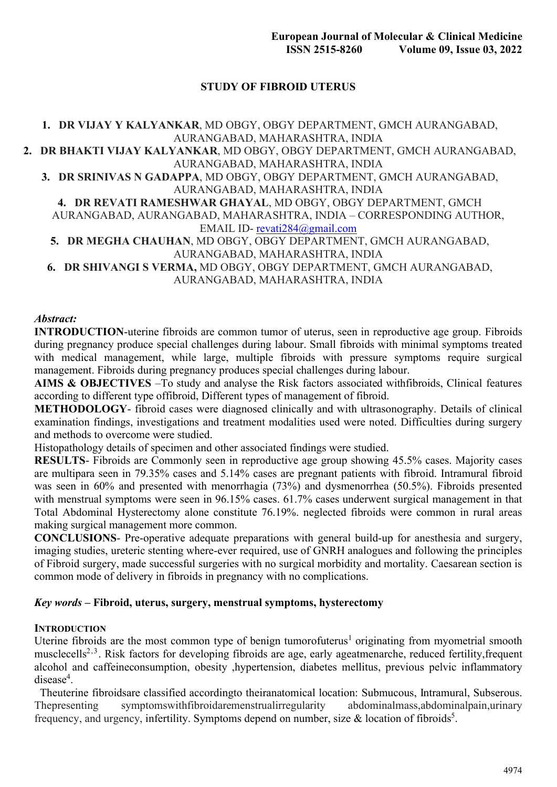# **STUDY OF FIBROID UTERUS**

**1. DR VIJAY Y KALYANKAR**, MD OBGY, OBGY DEPARTMENT, GMCH AURANGABAD, AURANGABAD, MAHARASHTRA, INDIA **2. DR BHAKTI VIJAY KALYANKAR**, MD OBGY, OBGY DEPARTMENT, GMCH AURANGABAD, AURANGABAD, MAHARASHTRA, INDIA **3. DR SRINIVAS N GADAPPA**, MD OBGY, OBGY DEPARTMENT, GMCH AURANGABAD, AURANGABAD, MAHARASHTRA, INDIA **4. DR REVATI RAMESHWAR GHAYAL**, MD OBGY, OBGY DEPARTMENT, GMCH AURANGABAD, AURANGABAD, MAHARASHTRA, INDIA – CORRESPONDING AUTHOR, EMAIL ID- [revati284@gmail.com](mailto:REVATI284@GMAIL.COM) **5. DR MEGHA CHAUHAN**, MD OBGY, OBGY DEPARTMENT, GMCH AURANGABAD, AURANGABAD, MAHARASHTRA, INDIA **6. DR SHIVANGI S VERMA,** MD OBGY, OBGY DEPARTMENT, GMCH AURANGABAD, AURANGABAD, MAHARASHTRA, INDIA

### *Abstract:*

**INTRODUCTION**-uterine fibroids are common tumor of uterus, seen in reproductive age group. Fibroids during pregnancy produce special challenges during labour. Small fibroids with minimal symptoms treated with medical management, while large, multiple fibroids with pressure symptoms require surgical management. Fibroids during pregnancy produces special challenges during labour.

**AIMS & OBJECTIVES** –To study and analyse the Risk factors associated withfibroids, Clinical features according to different type offibroid, Different types of management of fibroid.

**METHODOLOGY**- fibroid cases were diagnosed clinically and with ultrasonography. Details of clinical examination findings, investigations and treatment modalities used were noted. Difficulties during surgery and methods to overcome were studied.

Histopathology details of specimen and other associated findings were studied.

**RESULTS**- Fibroids are Commonly seen in reproductive age group showing 45.5% cases. Majority cases are multipara seen in 79.35% cases and 5.14% cases are pregnant patients with fibroid. Intramural fibroid was seen in 60% and presented with menorrhagia (73%) and dysmenorrhea (50.5%). Fibroids presented with menstrual symptoms were seen in 96.15% cases. 61.7% cases underwent surgical management in that Total Abdominal Hysterectomy alone constitute 76.19%. neglected fibroids were common in rural areas making surgical management more common.

**CONCLUSIONS**- Pre-operative adequate preparations with general build-up for anesthesia and surgery, imaging studies, ureteric stenting where-ever required, use of GNRH analogues and following the principles of Fibroid surgery, made successful surgeries with no surgical morbidity and mortality. Caesarean section is common mode of delivery in fibroids in pregnancy with no complications.

### *Key words* **– Fibroid, uterus, surgery, menstrual symptoms, hysterectomy**

#### **INTRODUCTION**

Uterine fibroids are the most common type of benign tumorofuterus<sup>1</sup> originating from myometrial smooth musclecells<sup>2,3</sup>. Risk factors for developing fibroids are age, early ageatmenarche, reduced fertility, frequent alcohol and caffeineconsumption, obesity ,hypertension, diabetes mellitus, previous pelvic inflammatory disease<sup>4</sup>.

Theuterine fibroidsare classified accordingto theiranatomical location: Submucous, Intramural, Subserous. Thepresenting symptomswithfibroidaremenstrualirregularity abdominalmass,abdominalpain,urinary frequency, and urgency, infertility. Symptoms depend on number, size & location of fibroids<sup>5</sup>.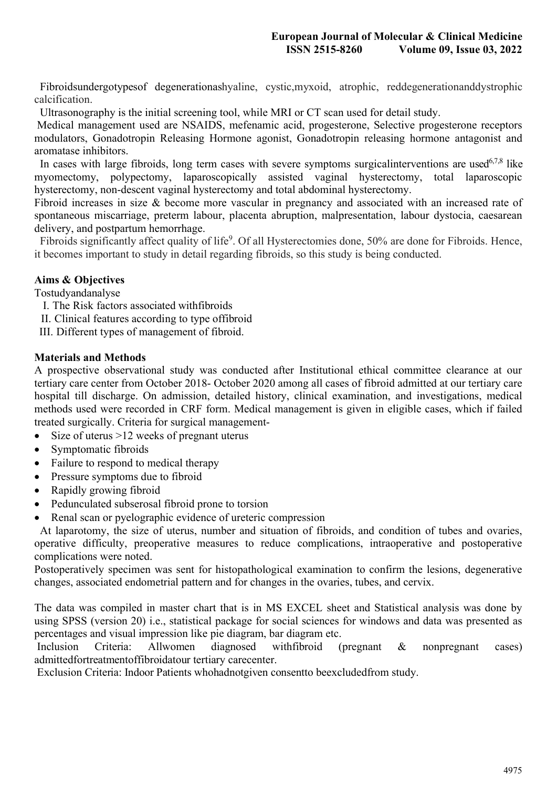Fibroidsundergotypesof degenerationashyaline, cystic,myxoid, atrophic, reddegenerationanddystrophic calcification.

Ultrasonography is the initial screening tool, while MRI or CT scan used for detail study.

Medical management used are NSAIDS, mefenamic acid, progesterone, Selective progesterone receptors modulators, Gonadotropin Releasing Hormone agonist, Gonadotropin releasing hormone antagonist and aromatase inhibitors.

In cases with large fibroids, long term cases with severe symptoms surgical interventions are used<sup>6,7,8</sup> like myomectomy, polypectomy, laparoscopically assisted vaginal hysterectomy, total laparoscopic hysterectomy, non-descent vaginal hysterectomy and total abdominal hysterectomy.

Fibroid increases in size & become more vascular in pregnancy and associated with an increased rate of spontaneous miscarriage, preterm labour, placenta abruption, malpresentation, labour dystocia, caesarean delivery, and postpartum hemorrhage.

Fibroids significantly affect quality of life<sup>9</sup>. Of all Hysterectomies done, 50% are done for Fibroids. Hence, it becomes important to study in detail regarding fibroids, so this study is being conducted.

# **Aims & Objectives**

Tostudyandanalyse

- I. The Risk factors associated withfibroids
- II. Clinical features according to type offibroid
- III. Different types of management of fibroid.

## **Materials and Methods**

A prospective observational study was conducted after Institutional ethical committee clearance at our tertiary care center from October 2018- October 2020 among all cases of fibroid admitted at our tertiary care hospital till discharge. On admission, detailed history, clinical examination, and investigations, medical methods used were recorded in CRF form. Medical management is given in eligible cases, which if failed treated surgically. Criteria for surgical management-

- ∑ Size of uterus >12 weeks of pregnant uterus
- ∑ Symptomatic fibroids
- Failure to respond to medical therapy
- Pressure symptoms due to fibroid
- Rapidly growing fibroid
- Pedunculated subserosal fibroid prone to torsion
- Renal scan or pyelographic evidence of ureteric compression

At laparotomy, the size of uterus, number and situation of fibroids, and condition of tubes and ovaries, operative difficulty, preoperative measures to reduce complications, intraoperative and postoperative complications were noted.

Postoperatively specimen was sent for histopathological examination to confirm the lesions, degenerative changes, associated endometrial pattern and for changes in the ovaries, tubes, and cervix.

The data was compiled in master chart that is in MS EXCEL sheet and Statistical analysis was done by using SPSS (version 20) i.e., statistical package for social sciences for windows and data was presented as percentages and visual impression like pie diagram, bar diagram etc.

Inclusion Criteria: Allwomen diagnosed withfibroid (pregnant & nonpregnant cases) admittedfortreatmentoffibroidatour tertiary carecenter.

Exclusion Criteria: Indoor Patients whohadnotgiven consentto beexcludedfrom study.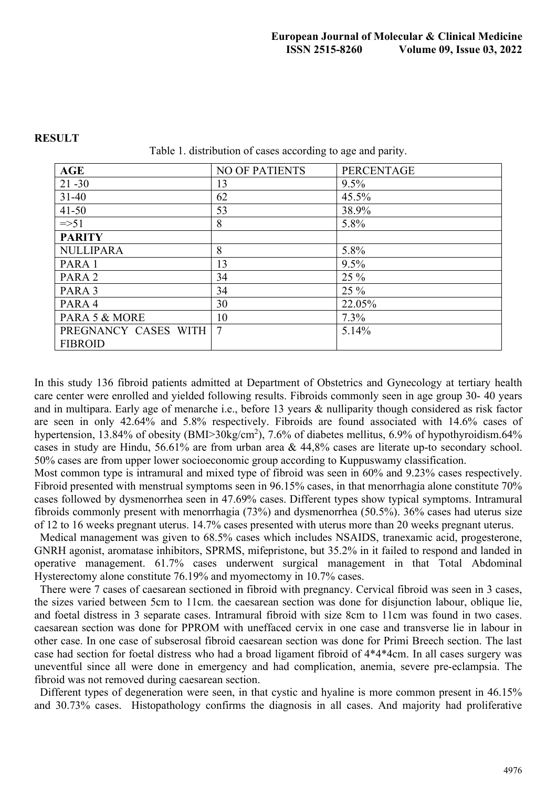| <b>AGE</b>           | <b>NO OF PATIENTS</b> | <b>PERCENTAGE</b> |
|----------------------|-----------------------|-------------------|
| $21 - 30$            | 13                    | 9.5%              |
| $31 - 40$            | 62                    | 45.5%             |
| $41 - 50$            | 53                    | 38.9%             |
| $\approx$ 51         | 8                     | 5.8%              |
| <b>PARITY</b>        |                       |                   |
| <b>NULLIPARA</b>     | 8                     | 5.8%              |
| PARA 1               | 13                    | 9.5%              |
| PARA <sub>2</sub>    | 34                    | 25 %              |
| PARA 3               | 34                    | 25 %              |
| PARA 4               | 30                    | 22.05%            |
| PARA 5 & MORE        | 10                    | $7.3\%$           |
| PREGNANCY CASES WITH | 7                     | 5.14%             |
| <b>FIBROID</b>       |                       |                   |

#### **RESULT**

Table 1. distribution of cases according to age and parity.

In this study 136 fibroid patients admitted at Department of Obstetrics and Gynecology at tertiary health care center were enrolled and yielded following results. Fibroids commonly seen in age group 30- 40 years and in multipara. Early age of menarche i.e., before 13 years & nulliparity though considered as risk factor are seen in only 42.64% and 5.8% respectively. Fibroids are found associated with 14.6% cases of hypertension, 13.84% of obesity (BMI>30kg/cm<sup>2</sup>), 7.6% of diabetes mellitus, 6.9% of hypothyroidism.64% cases in study are Hindu, 56.61% are from urban area & 44,8% cases are literate up-to secondary school. 50% cases are from upper lower socioeconomic group according to Kuppuswamy classification.

Most common type is intramural and mixed type of fibroid was seen in 60% and 9.23% cases respectively. Fibroid presented with menstrual symptoms seen in 96.15% cases, in that menorrhagia alone constitute 70% cases followed by dysmenorrhea seen in 47.69% cases. Different types show typical symptoms. Intramural fibroids commonly present with menorrhagia (73%) and dysmenorrhea (50.5%). 36% cases had uterus size of 12 to 16 weeks pregnant uterus. 14.7% cases presented with uterus more than 20 weeks pregnant uterus.

Medical management was given to 68.5% cases which includes NSAIDS, tranexamic acid, progesterone, GNRH agonist, aromatase inhibitors, SPRMS, mifepristone, but 35.2% in it failed to respond and landed in operative management. 61.7% cases underwent surgical management in that Total Abdominal Hysterectomy alone constitute 76.19% and myomectomy in 10.7% cases.

There were 7 cases of caesarean sectioned in fibroid with pregnancy. Cervical fibroid was seen in 3 cases, the sizes varied between 5cm to 11cm. the caesarean section was done for disjunction labour, oblique lie, and foetal distress in 3 separate cases. Intramural fibroid with size 8cm to 11cm was found in two cases. caesarean section was done for PPROM with uneffaced cervix in one case and transverse lie in labour in other case. In one case of subserosal fibroid caesarean section was done for Primi Breech section. The last case had section for foetal distress who had a broad ligament fibroid of 4\*4\*4cm. In all cases surgery was uneventful since all were done in emergency and had complication, anemia, severe pre-eclampsia. The fibroid was not removed during caesarean section.

Different types of degeneration were seen, in that cystic and hyaline is more common present in 46.15% and 30.73% cases. Histopathology confirms the diagnosis in all cases. And majority had proliferative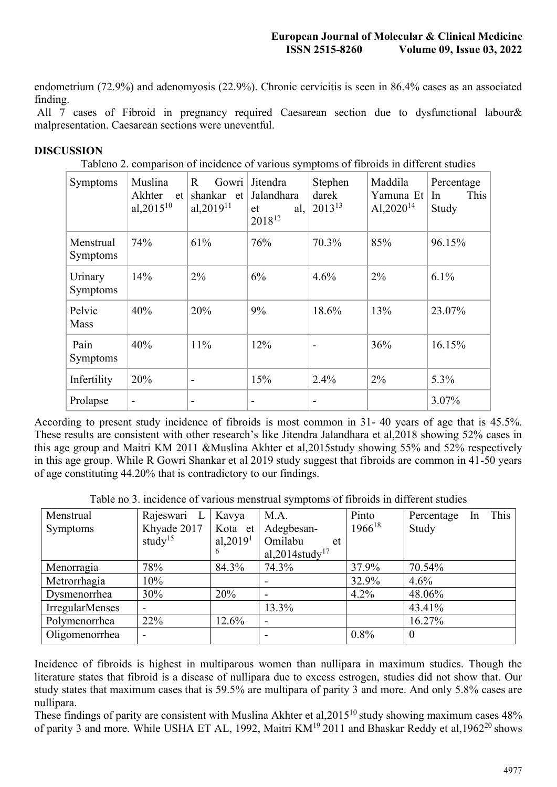endometrium (72.9%) and adenomyosis (22.9%). Chronic cervicitis is seen in 86.4% cases as an associated finding.

All 7 cases of Fibroid in pregnancy required Caesarean section due to dysfunctional labour& malpresentation. Caesarean sections were uneventful.

### **DISCUSSION**

|  |  | Tableno 2. comparison of incidence of various symptoms of fibroids in different studies |
|--|--|-----------------------------------------------------------------------------------------|
|  |  |                                                                                         |

| Symptoms                     | Muslina<br>Akhter<br>et<br>al, $2015^{10}$ | $\mathsf{R}$<br>Gowri  <br>shankar et<br>al, $2019^{11}$ | Jitendra<br>Jalandhara<br>al,  <br>et<br>$2018^{12}$ | Stephen<br>darek<br>$2013^{13}$ | Maddila<br>Yamuna Et<br>Al, $2020^{14}$ | Percentage<br>This<br>In<br>Study |
|------------------------------|--------------------------------------------|----------------------------------------------------------|------------------------------------------------------|---------------------------------|-----------------------------------------|-----------------------------------|
| Menstrual<br><b>Symptoms</b> | 74%                                        | 61%                                                      | 76%                                                  | 70.3%                           | 85%                                     | 96.15%                            |
| Urinary<br>Symptoms          | 14%                                        | 2%                                                       | 6%                                                   | 4.6%                            | $2\%$                                   | 6.1%                              |
| Pelvic<br>Mass               | 40%                                        | 20%                                                      | 9%                                                   | 18.6%                           | 13%                                     | 23.07%                            |
| Pain<br><b>Symptoms</b>      | 40%                                        | 11%                                                      | 12%                                                  | -                               | 36%                                     | 16.15%                            |
| Infertility                  | 20%                                        | -                                                        | 15%                                                  | 2.4%                            | 2%                                      | 5.3%                              |
| Prolapse                     |                                            |                                                          |                                                      |                                 |                                         | 3.07%                             |

According to present study incidence of fibroids is most common in 31- 40 years of age that is 45.5%. These results are consistent with other research's like Jitendra Jalandhara et al,2018 showing 52% cases in this age group and Maitri KM 2011 &Muslina Akhter et al,2015study showing 55% and 52% respectively in this age group. While R Gowri Shankar et al 2019 study suggest that fibroids are common in 41-50 years of age constituting 44.20% that is contradictory to our findings.

Table no 3. incidence of various menstrual symptoms of fibroids in different studies

| Menstrual              | Rajeswari L              | Kavya       | M.A.                        | Pinto       | This<br>Percentage<br><b>In</b> |
|------------------------|--------------------------|-------------|-----------------------------|-------------|---------------------------------|
| Symptoms               | Khyade 2017              | Kota et     | Adegbesan-                  | $1966^{18}$ | Study                           |
|                        | study <sup>15</sup>      | al, $20191$ | Omilabu<br>et               |             |                                 |
|                        |                          | 6           | al, 2014study <sup>17</sup> |             |                                 |
| Menorragia             | 78%                      | 84.3%       | 74.3%                       | 37.9%       | 70.54%                          |
| Metrorrhagia           | 10%                      |             |                             | 32.9%       | 4.6%                            |
| Dysmenorrhea           | 30%                      | 20%         | $\overline{\phantom{0}}$    | 4.2%        | 48.06%                          |
| <b>IrregularMenses</b> | $\overline{\phantom{a}}$ |             | 13.3%                       |             | 43.41%                          |
| Polymenorrhea          | 22%                      | 12.6%       |                             |             | 16.27%                          |
| Oligomenorrhea         | $\overline{\phantom{a}}$ |             | -                           | 0.8%        | $\overline{0}$                  |

Incidence of fibroids is highest in multiparous women than nullipara in maximum studies. Though the literature states that fibroid is a disease of nullipara due to excess estrogen, studies did not show that. Our study states that maximum cases that is 59.5% are multipara of parity 3 and more. And only 5.8% cases are nullipara.

These findings of parity are consistent with Muslina Akhter et al,  $2015^{10}$  study showing maximum cases 48% of parity 3 and more. While USHA ET AL, 1992, Maitri KM<sup>19</sup> 2011 and Bhaskar Reddy et al,1962<sup>20</sup> shows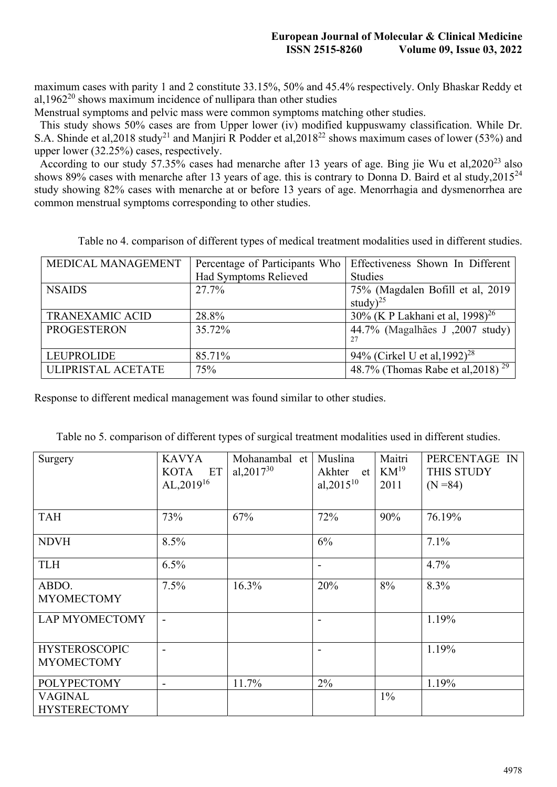maximum cases with parity 1 and 2 constitute 33.15%, 50% and 45.4% respectively. Only Bhaskar Reddy et al,1962 $^{20}$  shows maximum incidence of nullipara than other studies

Menstrual symptoms and pelvic mass were common symptoms matching other studies.

This study shows 50% cases are from Upper lower (iv) modified kuppuswamy classification. While Dr. S.A. Shinde et al, 2018 study<sup>21</sup> and Manjiri R Podder et al, 2018<sup>22</sup> shows maximum cases of lower (53%) and upper lower (32.25%) cases, respectively.

According to our study 57.35% cases had menarche after 13 years of age. Bing jie Wu et al, 2020<sup>23</sup> also shows 89% cases with menarche after 13 years of age. this is contrary to Donna D. Baird et al study,  $2015^{24}$ study showing 82% cases with menarche at or before 13 years of age. Menorrhagia and dysmenorrhea are common menstrual symptoms corresponding to other studies.

Table no 4. comparison of different types of medical treatment modalities used in different studies.

| MEDICAL MANAGEMENT     | Percentage of Participants Who | Effectiveness Shown In Different                                      |
|------------------------|--------------------------------|-----------------------------------------------------------------------|
|                        | Had Symptoms Relieved          | <b>Studies</b>                                                        |
| <b>NSAIDS</b>          | 27.7%                          | 75% (Magdalen Bofill et al, 2019)                                     |
|                        |                                | study $)^{25}$                                                        |
| <b>TRANEXAMIC ACID</b> | 28.8%                          | 30% (K P Lakhani et al, 1998) <sup>26</sup>                           |
| <b>PROGESTERON</b>     | 35.72%                         | 44.7% (Magalhães J, 2007 study)                                       |
|                        |                                |                                                                       |
| <b>LEUPROLIDE</b>      | 85.71%                         | 94% (Cirkel U et al, 1992) <sup>28</sup>                              |
| ULIPRISTAL ACETATE     | 75%                            | 48.7% (Thomas Rabe et al, 2018) <sup><math>\frac{29}{29}</math></sup> |

Response to different medical management was found similar to other studies.

| Surgery                                   | <b>KAVYA</b><br>KOTA ET<br>$AL, 2019^{16}$ | Mohanambal et<br>al, $2017^{30}$ | Muslina<br>Akhter<br>et<br>al, $2015^{10}$ | Maitri<br>$KM^{19}$<br>2011 | PERCENTAGE IN<br>THIS STUDY<br>$(N = 84)$ |
|-------------------------------------------|--------------------------------------------|----------------------------------|--------------------------------------------|-----------------------------|-------------------------------------------|
| <b>TAH</b>                                | 73%                                        | 67%                              | 72%                                        | 90%                         | 76.19%                                    |
| <b>NDVH</b>                               | 8.5%                                       |                                  | 6%                                         |                             | 7.1%                                      |
| <b>TLH</b>                                | 6.5%                                       |                                  |                                            |                             | 4.7%                                      |
| ABDO.<br><b>MYOMECTOMY</b>                | 7.5%                                       | 16.3%                            | 20%                                        | 8%                          | 8.3%                                      |
| LAP MYOMECTOMY                            |                                            |                                  |                                            |                             | 1.19%                                     |
| <b>HYSTEROSCOPIC</b><br><b>MYOMECTOMY</b> |                                            |                                  |                                            |                             | 1.19%                                     |
| <b>POLYPECTOMY</b>                        |                                            | 11.7%                            | 2%                                         |                             | 1.19%                                     |
| <b>VAGINAL</b><br><b>HYSTERECTOMY</b>     |                                            |                                  |                                            | $1\%$                       |                                           |

Table no 5. comparison of different types of surgical treatment modalities used in different studies.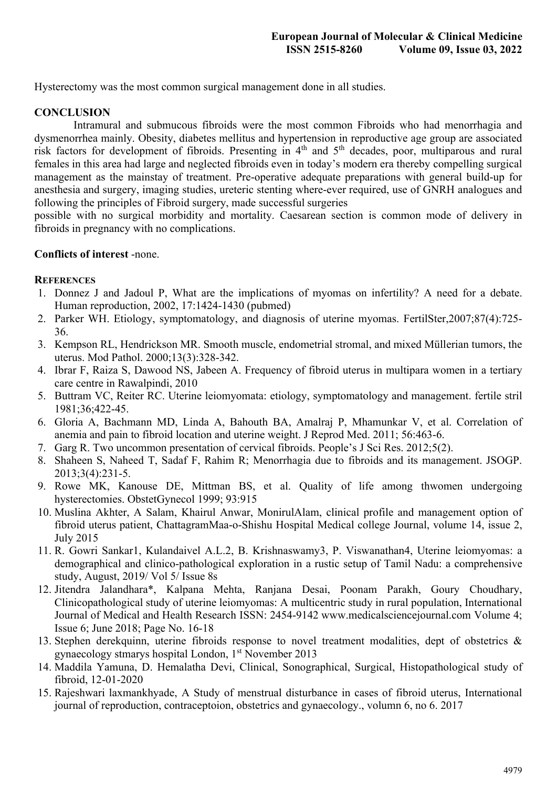Hysterectomy was the most common surgical management done in all studies.

# **CONCLUSION**

Intramural and submucous fibroids were the most common Fibroids who had menorrhagia and dysmenorrhea mainly. Obesity, diabetes mellitus and hypertension in reproductive age group are associated risk factors for development of fibroids. Presenting in 4<sup>th</sup> and 5<sup>th</sup> decades, poor, multiparous and rural females in this area had large and neglected fibroids even in today's modern era thereby compelling surgical management as the mainstay of treatment. Pre-operative adequate preparations with general build-up for anesthesia and surgery, imaging studies, ureteric stenting where-ever required, use of GNRH analogues and following the principles of Fibroid surgery, made successful surgeries

possible with no surgical morbidity and mortality. Caesarean section is common mode of delivery in fibroids in pregnancy with no complications.

# **Conflicts of interest** -none.

## **REFERENCES**

- 1. Donnez J and Jadoul P, What are the implications of myomas on infertility? A need for a debate. Human reproduction, 2002, 17:1424-1430 (pubmed)
- 2. Parker WH. Etiology, symptomatology, and diagnosis of uterine myomas. FertilSter,2007;87(4):725- 36.
- 3. Kempson RL, Hendrickson MR. Smooth muscle, endometrial stromal, and mixed Müllerian tumors, the uterus. Mod Pathol. 2000;13(3):328-342.
- 4. Ibrar F, Raiza S, Dawood NS, Jabeen A. Frequency of fibroid uterus in multipara women in a tertiary care centre in Rawalpindi, 2010
- 5. Buttram VC, Reiter RC. Uterine leiomyomata: etiology, symptomatology and management. fertile stril 1981;36;422-45.
- 6. Gloria A, Bachmann MD, Linda A, Bahouth BA, Amalraj P, Mhamunkar V, et al. Correlation of anemia and pain to fibroid location and uterine weight. J Reprod Med. 2011; 56:463-6.
- 7. Garg R. Two uncommon presentation of cervical fibroids. People's J Sci Res. 2012;5(2).
- 8. Shaheen S, Naheed T, Sadaf F, Rahim R; Menorrhagia due to fibroids and its management. JSOGP. 2013;3(4):231-5.
- 9. Rowe MK, Kanouse DE, Mittman BS, et al. Quality of life among thwomen undergoing hysterectomies. ObstetGynecol 1999; 93:915
- 10. Muslina Akhter, A Salam, Khairul Anwar, MonirulAlam, clinical profile and management option of fibroid uterus patient, ChattagramMaa-o-Shishu Hospital Medical college Journal, volume 14, issue 2, July 2015
- 11. R. Gowri Sankar1, Kulandaivel A.L.2, B. Krishnaswamy3, P. Viswanathan4, Uterine leiomyomas: a demographical and clinico-pathological exploration in a rustic setup of Tamil Nadu: a comprehensive study, August, 2019/ Vol 5/ Issue 8s
- 12. Jitendra Jalandhara\*, Kalpana Mehta, Ranjana Desai, Poonam Parakh, Goury Choudhary, Clinicopathological study of uterine leiomyomas: A multicentric study in rural population, International Journal of Medical and Health Research ISSN: 2454-9142 www.medicalsciencejournal.com Volume 4; Issue 6; June 2018; Page No. 16-18
- 13. Stephen derekquinn, uterine fibroids response to novel treatment modalities, dept of obstetrics & gynaecology stmarys hospital London, 1<sup>st</sup> November 2013
- 14. Maddila Yamuna, D. Hemalatha Devi, Clinical, Sonographical, Surgical, Histopathological study of fibroid, 12-01-2020
- 15. Rajeshwari laxmankhyade, A Study of menstrual disturbance in cases of fibroid uterus, International journal of reproduction, contraceptoion, obstetrics and gynaecology., volumn 6, no 6. 2017